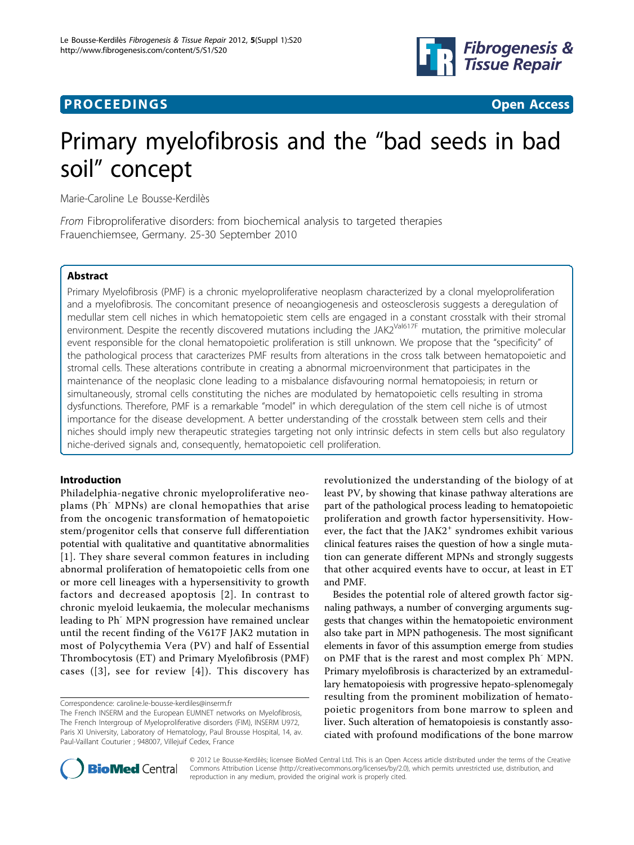

# **PROCEEDINGS CONSUMING S** Open Access **CONSUMING S**



# Primary myelofibrosis and the "bad seeds in bad soil" concept

Marie-Caroline Le Bousse-Kerdilès

From Fibroproliferative disorders: from biochemical analysis to targeted therapies Frauenchiemsee, Germany. 25-30 September 2010

# Abstract

Primary Myelofibrosis (PMF) is a chronic myeloproliferative neoplasm characterized by a clonal myeloproliferation and a myelofibrosis. The concomitant presence of neoangiogenesis and osteosclerosis suggests a deregulation of medullar stem cell niches in which hematopoietic stem cells are engaged in a constant crosstalk with their stromal environment. Despite the recently discovered mutations including the JAK2Val617F mutation, the primitive molecular event responsible for the clonal hematopoietic proliferation is still unknown. We propose that the "specificity" of the pathological process that caracterizes PMF results from alterations in the cross talk between hematopoietic and stromal cells. These alterations contribute in creating a abnormal microenvironment that participates in the maintenance of the neoplasic clone leading to a misbalance disfavouring normal hematopoiesis; in return or simultaneously, stromal cells constituting the niches are modulated by hematopoietic cells resulting in stroma dysfunctions. Therefore, PMF is a remarkable "model" in which deregulation of the stem cell niche is of utmost importance for the disease development. A better understanding of the crosstalk between stem cells and their niches should imply new therapeutic strategies targeting not only intrinsic defects in stem cells but also regulatory niche-derived signals and, consequently, hematopoietic cell proliferation.

# Introduction

Philadelphia-negative chronic myeloproliferative neoplams (Ph- MPNs) are clonal hemopathies that arise from the oncogenic transformation of hematopoietic stem/progenitor cells that conserve full differentiation potential with qualitative and quantitative abnormalities [[1](#page-5-0)]. They share several common features in including abnormal proliferation of hematopoietic cells from one or more cell lineages with a hypersensitivity to growth factors and decreased apoptosis [[2](#page-5-0)]. In contrast to chronic myeloid leukaemia, the molecular mechanisms leading to Ph<sup>-</sup> MPN progression have remained unclear until the recent finding of the V617F JAK2 mutation in most of Polycythemia Vera (PV) and half of Essential Thrombocytosis (ET) and Primary Myelofibrosis (PMF) cases  $([3]$  $([3]$  $([3]$ , see for review  $[4]$  $[4]$  $[4]$ ). This discovery has

Correspondence: [caroline.le-bousse-kerdiles@inserm.fr](mailto:caroline.le-bousse-kerdiles@inserm.fr)

revolutionized the understanding of the biology of at least PV, by showing that kinase pathway alterations are part of the pathological process leading to hematopoietic proliferation and growth factor hypersensitivity. However, the fact that the JAK2<sup>+</sup> syndromes exhibit various clinical features raises the question of how a single mutation can generate different MPNs and strongly suggests that other acquired events have to occur, at least in ET and PMF.

Besides the potential role of altered growth factor signaling pathways, a number of converging arguments suggests that changes within the hematopoietic environment also take part in MPN pathogenesis. The most significant elements in favor of this assumption emerge from studies on PMF that is the rarest and most complex Ph<sup>-</sup> MPN. Primary myelofibrosis is characterized by an extramedullary hematopoiesis with progressive hepato-splenomegaly resulting from the prominent mobilization of hematopoietic progenitors from bone marrow to spleen and liver. Such alteration of hematopoiesis is constantly associated with profound modifications of the bone marrow



© 2012 Le Bousse-Kerdilès; licensee BioMed Central Ltd. This is an Open Access article distributed under the terms of the Creative Commons Attribution License [\(http://creativecommons.org/licenses/by/2.0](http://creativecommons.org/licenses/by/2.0)), which permits unrestricted use, distribution, and reproduction in any medium, provided the original work is properly cited.

The French INSERM and the European EUMNET networks on Myelofibrosis, The French Intergroup of Myeloproliferative disorders (FIM), INSERM U972, Paris XI University, Laboratory of Hematology, Paul Brousse Hospital, 14, av. Paul-Vaillant Couturier ; 948007, Villejuif Cedex, France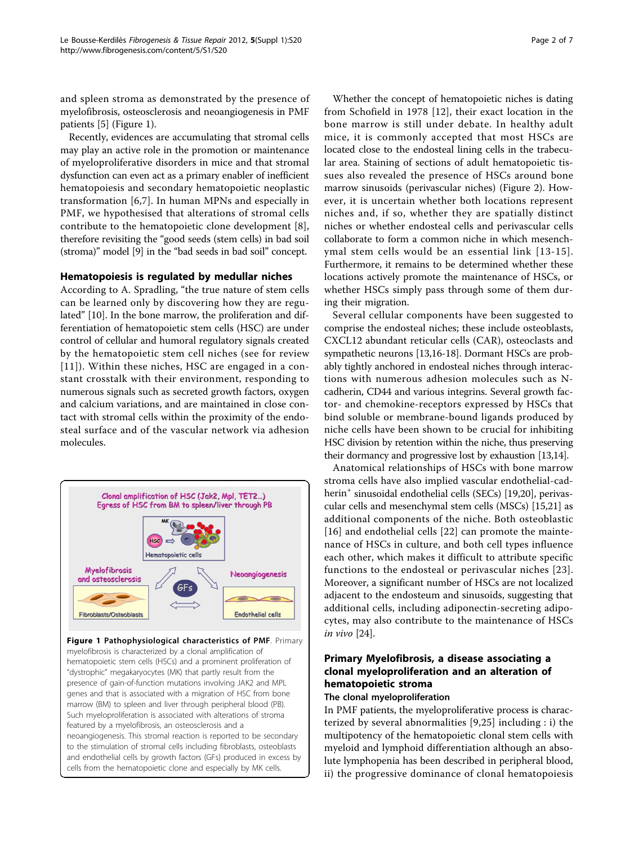and spleen stroma as demonstrated by the presence of myelofibrosis, osteosclerosis and neoangiogenesis in PMF patients [[5](#page-5-0)] (Figure 1).

Recently, evidences are accumulating that stromal cells may play an active role in the promotion or maintenance of myeloproliferative disorders in mice and that stromal dysfunction can even act as a primary enabler of inefficient hematopoiesis and secondary hematopoietic neoplastic transformation [[6,7](#page-5-0)]. In human MPNs and especially in PMF, we hypothesised that alterations of stromal cells contribute to the hematopoietic clone development [[8](#page-5-0)], therefore revisiting the "good seeds (stem cells) in bad soil (stroma)" model [\[9\]](#page-5-0) in the "bad seeds in bad soil" concept.

## Hematopoiesis is regulated by medullar niches

According to A. Spradling, "the true nature of stem cells can be learned only by discovering how they are regulated" [[10\]](#page-5-0). In the bone marrow, the proliferation and differentiation of hematopoietic stem cells (HSC) are under control of cellular and humoral regulatory signals created by the hematopoietic stem cell niches (see for review [[11](#page-5-0)]). Within these niches, HSC are engaged in a constant crosstalk with their environment, responding to numerous signals such as secreted growth factors, oxygen and calcium variations, and are maintained in close contact with stromal cells within the proximity of the endosteal surface and of the vascular network via adhesion molecules.



hematopoietic stem cells (HSCs) and a prominent proliferation of "dystrophic" megakaryocytes (MK) that partly result from the presence of gain-of-function mutations involving JAK2 and MPL genes and that is associated with a migration of HSC from bone marrow (BM) to spleen and liver through peripheral blood (PB). Such myeloproliferation is associated with alterations of stroma featured by a myelofibrosis, an osteosclerosis and a neoangiogenesis. This stromal reaction is reported to be secondary to the stimulation of stromal cells including fibroblasts, osteoblasts and endothelial cells by growth factors (GFs) produced in excess by cells from the hematopoietic clone and especially by MK cells.

Whether the concept of hematopoietic niches is dating from Schofield in 1978 [[12](#page-5-0)], their exact location in the bone marrow is still under debate. In healthy adult mice, it is commonly accepted that most HSCs are located close to the endosteal lining cells in the trabecular area. Staining of sections of adult hematopoietic tissues also revealed the presence of HSCs around bone marrow sinusoids (perivascular niches) (Figure [2\)](#page-2-0). However, it is uncertain whether both locations represent niches and, if so, whether they are spatially distinct niches or whether endosteal cells and perivascular cells collaborate to form a common niche in which mesenchymal stem cells would be an essential link [[13-15\]](#page-5-0). Furthermore, it remains to be determined whether these locations actively promote the maintenance of HSCs, or whether HSCs simply pass through some of them during their migration.

Several cellular components have been suggested to comprise the endosteal niches; these include osteoblasts, CXCL12 abundant reticular cells (CAR), osteoclasts and sympathetic neurons [\[13,16](#page-5-0)-[18](#page-5-0)]. Dormant HSCs are probably tightly anchored in endosteal niches through interactions with numerous adhesion molecules such as Ncadherin, CD44 and various integrins. Several growth factor- and chemokine-receptors expressed by HSCs that bind soluble or membrane-bound ligands produced by niche cells have been shown to be crucial for inhibiting HSC division by retention within the niche, thus preserving their dormancy and progressive lost by exhaustion [[13,14\]](#page-5-0).

Anatomical relationships of HSCs with bone marrow stroma cells have also implied vascular endothelial-cad-herin<sup>+</sup> sinusoidal endothelial cells (SECs) [\[19,20\]](#page-5-0), perivascular cells and mesenchymal stem cells (MSCs) [[15,21\]](#page-5-0) as additional components of the niche. Both osteoblastic [[16](#page-5-0)] and endothelial cells [[22](#page-5-0)] can promote the maintenance of HSCs in culture, and both cell types influence each other, which makes it difficult to attribute specific functions to the endosteal or perivascular niches [[23](#page-5-0)]. Moreover, a significant number of HSCs are not localized adjacent to the endosteum and sinusoids, suggesting that additional cells, including adiponectin-secreting adipocytes, may also contribute to the maintenance of HSCs in vivo [\[24](#page-5-0)].

# Primary Myelofibrosis, a disease associating a clonal myeloproliferation and an alteration of hematopoietic stroma

### The clonal myeloproliferation

In PMF patients, the myeloproliferative process is characterized by several abnormalities [[9,25](#page-5-0)] including : i) the multipotency of the hematopoietic clonal stem cells with myeloid and lymphoid differentiation although an absolute lymphopenia has been described in peripheral blood, ii) the progressive dominance of clonal hematopoiesis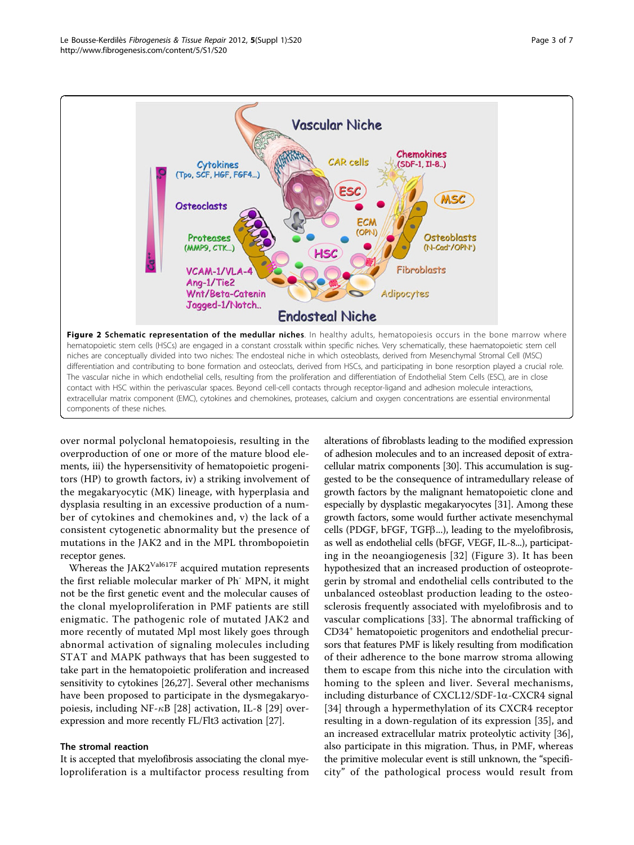<span id="page-2-0"></span>

over normal polyclonal hematopoiesis, resulting in the overproduction of one or more of the mature blood elements, iii) the hypersensitivity of hematopoietic progenitors (HP) to growth factors, iv) a striking involvement of the megakaryocytic (MK) lineage, with hyperplasia and dysplasia resulting in an excessive production of a number of cytokines and chemokines and, v) the lack of a consistent cytogenetic abnormality but the presence of mutations in the JAK2 and in the MPL thrombopoietin receptor genes.

Whereas the JAK2 $V$ al617F acquired mutation represents the first reliable molecular marker of Ph<sup>-</sup> MPN, it might not be the first genetic event and the molecular causes of the clonal myeloproliferation in PMF patients are still enigmatic. The pathogenic role of mutated JAK2 and more recently of mutated Mpl most likely goes through abnormal activation of signaling molecules including STAT and MAPK pathways that has been suggested to take part in the hematopoietic proliferation and increased sensitivity to cytokines [[26](#page-5-0),[27](#page-5-0)]. Several other mechanisms have been proposed to participate in the dysmegakaryopoiesis, including NF- $\kappa$ B [\[28](#page-5-0)] activation, IL-8 [[29\]](#page-5-0) overexpression and more recently FL/Flt3 activation [[27](#page-5-0)].

## The stromal reaction

It is accepted that myelofibrosis associating the clonal myeloproliferation is a multifactor process resulting from

alterations of fibroblasts leading to the modified expression of adhesion molecules and to an increased deposit of extracellular matrix components [\[30\]](#page-5-0). This accumulation is suggested to be the consequence of intramedullary release of growth factors by the malignant hematopoietic clone and especially by dysplastic megakaryocytes [[31](#page-5-0)]. Among these growth factors, some would further activate mesenchymal cells (PDGF, bFGF, TGFb...), leading to the myelofibrosis, as well as endothelial cells (bFGF, VEGF, IL-8...), participating in the neoangiogenesis [[32](#page-5-0)] (Figure [3](#page-3-0)). It has been hypothesized that an increased production of osteoprotegerin by stromal and endothelial cells contributed to the unbalanced osteoblast production leading to the osteosclerosis frequently associated with myelofibrosis and to vascular complications [\[33](#page-5-0)]. The abnormal trafficking of CD34+ hematopoietic progenitors and endothelial precursors that features PMF is likely resulting from modification of their adherence to the bone marrow stroma allowing them to escape from this niche into the circulation with homing to the spleen and liver. Several mechanisms, including disturbance of  $\text{CXCL12}/\text{SDF-1}\alpha$ -CXCR4 signal [[34](#page-5-0)] through a hypermethylation of its CXCR4 receptor resulting in a down-regulation of its expression [\[35](#page-5-0)], and an increased extracellular matrix proteolytic activity [\[36](#page-5-0)], also participate in this migration. Thus, in PMF, whereas the primitive molecular event is still unknown, the "specificity" of the pathological process would result from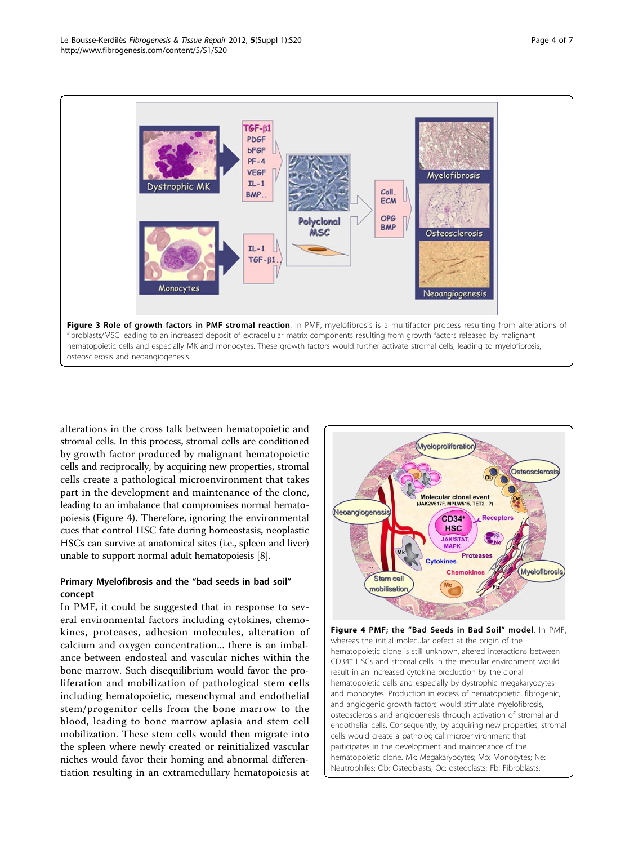<span id="page-3-0"></span>

alterations in the cross talk between hematopoietic and stromal cells. In this process, stromal cells are conditioned by growth factor produced by malignant hematopoietic cells and reciprocally, by acquiring new properties, stromal cells create a pathological microenvironment that takes part in the development and maintenance of the clone, leading to an imbalance that compromises normal hematopoiesis (Figure 4). Therefore, ignoring the environmental cues that control HSC fate during homeostasis, neoplastic HSCs can survive at anatomical sites (i.e., spleen and liver) unable to support normal adult hematopoiesis [\[8](#page-5-0)].

# Primary Myelofibrosis and the "bad seeds in bad soil" concept

In PMF, it could be suggested that in response to several environmental factors including cytokines, chemokines, proteases, adhesion molecules, alteration of calcium and oxygen concentration... there is an imbalance between endosteal and vascular niches within the bone marrow. Such disequilibrium would favor the proliferation and mobilization of pathological stem cells including hematopoietic, mesenchymal and endothelial stem/progenitor cells from the bone marrow to the blood, leading to bone marrow aplasia and stem cell mobilization. These stem cells would then migrate into the spleen where newly created or reinitialized vascular niches would favor their homing and abnormal differentiation resulting in an extramedullary hematopoiesis at



Figure 4 PMF; the "Bad Seeds in Bad Soil" model. In PMF, whereas the initial molecular defect at the origin of the hematopoietic clone is still unknown, altered interactions between CD34+ HSCs and stromal cells in the medullar environment would result in an increased cytokine production by the clonal hematopoietic cells and especially by dystrophic megakaryocytes and monocytes. Production in excess of hematopoietic, fibrogenic, and angiogenic growth factors would stimulate myelofibrosis, osteosclerosis and angiogenesis through activation of stromal and endothelial cells. Consequently, by acquiring new properties, stromal cells would create a pathological microenvironment that participates in the development and maintenance of the hematopoietic clone. Mk: Megakaryocytes; Mo: Monocytes; Ne: Neutrophiles; Ob: Osteoblasts; Oc: osteoclasts; Fb: Fibroblasts.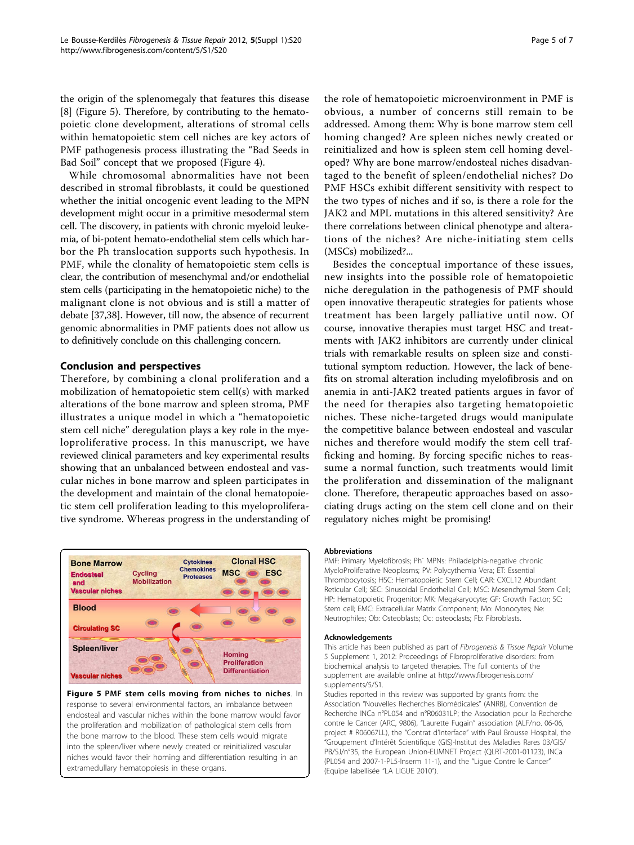the origin of the splenomegaly that features this disease [[8\]](#page-5-0) (Figure 5). Therefore, by contributing to the hematopoietic clone development, alterations of stromal cells within hematopoietic stem cell niches are key actors of PMF pathogenesis process illustrating the "Bad Seeds in Bad Soil" concept that we proposed (Figure [4\)](#page-3-0).

While chromosomal abnormalities have not been described in stromal fibroblasts, it could be questioned whether the initial oncogenic event leading to the MPN development might occur in a primitive mesodermal stem cell. The discovery, in patients with chronic myeloid leukemia, of bi-potent hemato-endothelial stem cells which harbor the Ph translocation supports such hypothesis. In PMF, while the clonality of hematopoietic stem cells is clear, the contribution of mesenchymal and/or endothelial stem cells (participating in the hematopoietic niche) to the malignant clone is not obvious and is still a matter of debate [[37](#page-5-0)[,38\]](#page-6-0). However, till now, the absence of recurrent genomic abnormalities in PMF patients does not allow us to definitively conclude on this challenging concern.

## Conclusion and perspectives

Therefore, by combining a clonal proliferation and a mobilization of hematopoietic stem cell(s) with marked alterations of the bone marrow and spleen stroma, PMF illustrates a unique model in which a "hematopoietic stem cell niche" deregulation plays a key role in the myeloproliferative process. In this manuscript, we have reviewed clinical parameters and key experimental results showing that an unbalanced between endosteal and vascular niches in bone marrow and spleen participates in the development and maintain of the clonal hematopoietic stem cell proliferation leading to this myeloproliferative syndrome. Whereas progress in the understanding of



#### Figure 5 PMF stem cells moving from niches to niches. In response to several environmental factors, an imbalance between endosteal and vascular niches within the bone marrow would favor the proliferation and mobilization of pathological stem cells from the bone marrow to the blood. These stem cells would migrate into the spleen/liver where newly created or reinitialized vascular niches would favor their homing and differentiation resulting in an extramedullary hematopoiesis in these organs.

the role of hematopoietic microenvironment in PMF is obvious, a number of concerns still remain to be addressed. Among them: Why is bone marrow stem cell homing changed? Are spleen niches newly created or reinitialized and how is spleen stem cell homing developed? Why are bone marrow/endosteal niches disadvantaged to the benefit of spleen/endothelial niches? Do PMF HSCs exhibit different sensitivity with respect to the two types of niches and if so, is there a role for the JAK2 and MPL mutations in this altered sensitivity? Are there correlations between clinical phenotype and alterations of the niches? Are niche-initiating stem cells (MSCs) mobilized?...

Besides the conceptual importance of these issues, new insights into the possible role of hematopoietic niche deregulation in the pathogenesis of PMF should open innovative therapeutic strategies for patients whose treatment has been largely palliative until now. Of course, innovative therapies must target HSC and treatments with JAK2 inhibitors are currently under clinical trials with remarkable results on spleen size and constitutional symptom reduction. However, the lack of benefits on stromal alteration including myelofibrosis and on anemia in anti-JAK2 treated patients argues in favor of the need for therapies also targeting hematopoietic niches. These niche-targeted drugs would manipulate the competitive balance between endosteal and vascular niches and therefore would modify the stem cell trafficking and homing. By forcing specific niches to reassume a normal function, such treatments would limit the proliferation and dissemination of the malignant clone. Therefore, therapeutic approaches based on associating drugs acting on the stem cell clone and on their regulatory niches might be promising!

#### Abbreviations

PMF: Primary Myelofibrosis; Ph<sup>-</sup> MPNs: Philadelphia-negative chronic MyeloProliferative Neoplasms; PV: Polycythemia Vera; ET: Essential Thrombocytosis; HSC: Hematopoietic Stem Cell; CAR: CXCL12 Abundant Reticular Cell; SEC: Sinusoidal Endothelial Cell; MSC: Mesenchymal Stem Cell; HP: Hematopoietic Progenitor; MK: Megakaryocyte; GF: Growth Factor; SC: Stem cell; EMC: Extracellular Matrix Component; Mo: Monocytes; Ne: Neutrophiles; Ob: Osteoblasts; Oc: osteoclasts; Fb: Fibroblasts.

#### Acknowledgements

This article has been published as part of Fibrogenesis & Tissue Repair Volume 5 Supplement 1, 2012: Proceedings of Fibroproliferative disorders: from biochemical analysis to targeted therapies. The full contents of the supplement are available online at [http://www.fibrogenesis.com/](http://www.fibrogenesis.com/supplements/5/S1) [supplements/5/S1.](http://www.fibrogenesis.com/supplements/5/S1)

Studies reported in this review was supported by grants from: the Association "Nouvelles Recherches Biomédicales" (ANRB), Convention de Recherche INCa n°PL054 and n°R06031LP; the Association pour la Recherche contre le Cancer (ARC, 9806), "Laurette Fugain" association (ALF/no. 06-06, project # R06067LL), the "Contrat d'Interface" with Paul Brousse Hospital, the "Groupement d'Intérêt Scientifique (GIS)-Institut des Maladies Rares 03/GIS/ PB/SJ/n°35, the European Union-EUMNET Project (QLRT-2001-01123), INCa (PL054 and 2007-1-PL5-Inserm 11-1), and the "Ligue Contre le Cancer" (Equipe labellisée "LA LIGUE 2010").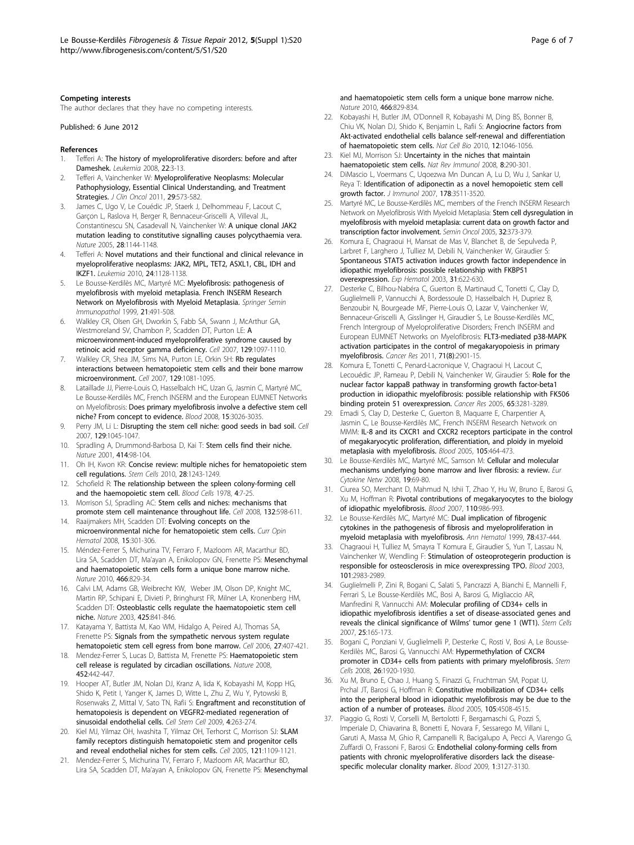#### <span id="page-5-0"></span>Competing interests

The author declares that they have no competing interests.

Published: 6 June 2012

#### References

- 1. Tefferi A: The history of myeloproliferative disorders: before and after Dameshek. Leukemia 2008, 22:3-13.
- 2. Tefferi A, Vainchenker W: Myeloproliferative Neoplasms: Molecular Pathophysiology, Essential Clinical Understanding, and Treatment Strategies. J Clin Oncol 2011, 29:573-582
- 3. James C, Ugo V, Le Couédic JP, Staerk J, Delhommeau F, Lacout C, Garçon L, Raslova H, Berger R, Bennaceur-Griscelli A, Villeval JL, Constantinescu SN, Casadevall N, Vainchenker W: A unique clonal JAK2 mutation leading to constitutive signalling causes polycythaemia vera. Nature 2005, 28:1144-1148.
- 4. Tefferi A: Novel mutations and their functional and clinical relevance in myeloproliferative neoplasms: JAK2, MPL, TET2, ASXL1, CBL, IDH and IKZF1. Leukemia 2010, 24:1128-1138.
- 5. Le Bousse-Kerdilès MC, Martyré MC: Myelofibrosis: pathogenesis of myelofibrosis with myeloid metaplasia. French INSERM Research Network on Myelofibrosis with Myeloid Metaplasia. Springer Semin Immunopathol 1999, 21:491-508.
- 6. Walkley CR, Olsen GH, Dworkin S, Fabb SA, Swann J, McArthur GA, Westmoreland SV, Chambon P, Scadden DT, Purton LE: A microenvironment-induced myeloproliferative syndrome caused by retinoic acid receptor gamma deficiency. Cell 2007, 129:1097-1110.
- 7. Walkley CR, Shea JM, Sims NA, Purton LE, Orkin SH: Rb regulates interactions between hematopoietic stem cells and their bone marrow microenvironment. Cell 2007, 129:1081-1095.
- Lataillade JJ, Pierre-Louis O, Hasselbalch HC, Uzan G, Jasmin C, Martyré MC, Le Bousse-Kerdilès MC, French INSERM and the European EUMNET Networks on Myelofibrosis: Does primary myelofibrosis involve a defective stem cell niche? From concept to evidence. Blood 2008, 15:3026-3035.
- 9. Perry JM, Li L: Disrupting the stem cell niche: good seeds in bad soil. Cell 2007, 129:1045-1047.
- 10. Spradling A, Drummond-Barbosa D, Kai T: Stem cells find their niche. Nature 2001, 414:98-104.
- 11. Oh IH, Kwon KR: Concise review: multiple niches for hematopoietic stem cell regulations. Stem Cells 2010, 28:1243-1249.
- 12. Schofield R: The relationship between the spleen colony-forming cell and the haemopoietic stem cell. Blood Cells 1978, 4:7-25.
- 13. Morrison SJ, Spradling AC: Stem cells and niches: mechanisms that promote stem cell maintenance throughout life. Cell 2008, 132:598-611.
- 14. Raaijmakers MH, Scadden DT: Evolving concepts on the microenvironmental niche for hematopoietic stem cells. Curr Opin Hematol 2008, 15:301-306.
- 15. Méndez-Ferrer S, Michurina TV, Ferraro F, Mazloom AR, Macarthur BD, Lira SA, Scadden DT, Ma'ayan A, Enikolopov GN, Frenette PS: Mesenchymal and haematopoietic stem cells form a unique bone marrow niche. Nature 2010, 466:829-34.
- 16. Calvi LM, Adams GB, Weibrecht KW, Weber JM, Olson DP, Knight MC, Martin RP, Schipani E, Divieti P, Bringhurst FR, Milner LA, Kronenberg HM, Scadden DT: Osteoblastic cells regulate the haematopoietic stem cell niche. Nature 2003, 425:841-846.
- 17. Katayama Y, Battista M, Kao WM, Hidalgo A, Peired AJ, Thomas SA, Frenette PS: Signals from the sympathetic nervous system regulate hematopoietic stem cell egress from bone marrow. Cell 2006, 27:407-421.
- 18. Mendez-Ferrer S, Lucas D, Battista M, Frenette PS: Haematopoietic stem cell release is regulated by circadian oscillations. Nature 2008, 452:442-447.
- 19. Hooper AT, Butler JM, Nolan DJ, Kranz A, Iida K, Kobayashi M, Kopp HG, Shido K, Petit I, Yanger K, James D, Witte L, Zhu Z, Wu Y, Pytowski B, Rosenwaks Z, Mittal V, Sato TN, Rafii S: Engraftment and reconstitution of hematopoiesis is dependent on VEGFR2-mediated regeneration of sinusoidal endothelial cells. Cell Stem Cell 2009, 4:263-274.
- 20. Kiel MJ, Yilmaz OH, Iwashita T, Yilmaz OH, Terhorst C, Morrison SJ: SLAM family receptors distinguish hematopoietic stem and progenitor cells and reveal endothelial niches for stem cells. Cell 2005, 121:1109-1121.
- 21. Mendez-Ferrer S, Michurina TV, Ferraro F, Mazloom AR, Macarthur BD, Lira SA, Scadden DT, Ma'ayan A, Enikolopov GN, Frenette PS: Mesenchymal

Page 6 of 7

and haematopoietic stem cells form a unique bone marrow niche. Nature 2010, 466:829-834.

- 22. Kobayashi H, Butler JM, O'Donnell R, Kobayashi M, Ding BS, Bonner B, Chiu VK, Nolan DJ, Shido K, Benjamin L, Rafii S: Angiocrine factors from Akt-activated endothelial cells balance self-renewal and differentiation of haematopoietic stem cells. Nat Cell Bio 2010, 12:1046-1056.
- 23. Kiel MJ, Morrison SJ: Uncertainty in the niches that maintain haematopoietic stem cells. Nat Rev Immunol 2008, 8:290-301.
- 24. DiMascio L, Voermans C, Uqoezwa Mn Duncan A, Lu D, Wu J, Sankar U, Reya T: Identification of adiponectin as a novel hemopoietic stem cell growth factor. J Immunol 2007, 178:3511-3520.
- 25. Martyré MC, Le Bousse-Kerdilès MC, members of the French INSERM Research Network on Myelofibrosis With Myeloid Metaplasia: Stem cell dysregulation in myelofibrosis with myeloid metaplasia: current data on growth factor and transcription factor involvement. Semin Oncol 2005, 32:373-379.
- 26. Komura E, Chagraoui H, Mansat de Mas V, Blanchet B, de Sepulveda P, Larbret F, Larghero J, Tulliez M, Debili N, Vainchenker W, Giraudier S: Spontaneous STAT5 activation induces growth factor independence in idiopathic myelofibrosis: possible relationship with FKBP51 overexpression. Exp Hematol 2003, 31:622-630.
- 27. Desterke C, Bilhou-Nabéra C, Guerton B, Martinaud C, Tonetti C, Clay D, Guglielmelli P, Vannucchi A, Bordessoule D, Hasselbalch H, Dupriez B, Benzoubir N, Bourgeade MF, Pierre-Louis O, Lazar V, Vainchenker W, Bennaceur-Griscelli A, Gisslinger H, Giraudier S, Le Bousse-Kerdilès MC, French Intergroup of Myeloproliferative Disorders; French INSERM and European EUMNET Networks on Myelofibrosis: FLT3-mediated p38-MAPK activation participates in the control of megakaryopoiesis in primary myelofibrosis. Cancer Res 2011, 71(8):2901-15.
- 28. Komura E, Tonetti C, Penard-Lacronique V, Chagraoui H, Lacout C, Lecouédic JP, Rameau P, Debili N, Vainchenker W, Giraudier S: Role for the nuclear factor kappaB pathway in transforming growth factor-beta1 production in idiopathic myelofibrosis: possible relationship with FK506 binding protein 51 overexpression. Cancer Res 2005, 65:3281-3289.
- 29. Emadi S, Clay D, Desterke C, Guerton B, Maquarre E, Charpentier A, Jasmin C, Le Bousse-Kerdilès MC, French INSERM Research Network on MMM: IL-8 and its CXCR1 and CXCR2 receptors participate in the control of megakaryocytic proliferation, differentiation, and ploidy in myeloid metaplasia with myelofibrosis. Blood 2005, 105:464-473.
- 30. Le Bousse-Kerdilès MC, Martyré MC, Samson M: Cellular and molecular mechanisms underlying bone marrow and liver fibrosis: a review. Eur Cytokine Netw 2008, 19:69-80.
- 31. Ciurea SO, Merchant D, Mahmud N, Ishii T, Zhao Y, Hu W, Bruno E, Barosi G, Xu M, Hoffman R: Pivotal contributions of megakaryocytes to the biology of idiopathic myelofibrosis. Blood 2007, 110:986-993.
- Le Bousse-Kerdilès MC, Martyré MC: Dual implication of fibrogenic cytokines in the pathogenesis of fibrosis and myeloproliferation in myeloid metaplasia with myelofibrosis. Ann Hematol 1999, 78:437-444.
- 33. Chagraoui H, Tulliez M, Smayra T Komura E, Giraudier S, Yun T, Lassau N, Vainchenker W, Wendling F: Stimulation of osteoprotegerin production is responsible for osteosclerosis in mice overexpressing TPO. Blood 2003, 101:2983-2989.
- 34. Guglielmelli P, Zini R, Bogani C, Salati S, Pancrazzi A, Bianchi E, Mannelli F, Ferrari S, Le Bousse-Kerdilès MC, Bosi A, Barosi G, Migliaccio AR, Manfredini R, Vannucchi AM: Molecular profiling of CD34+ cells in idiopathic myelofibrosis identifies a set of disease-associated genes and reveals the clinical significance of Wilms' tumor gene 1 (WT1). Stem Cells 2007, 25:165-173.
- 35. Bogani C, Ponziani V, Guglielmelli P, Desterke C, Rosti V, Bosi A, Le Bousse-Kerdilès MC, Barosi G, Vannucchi AM: Hypermethylation of CXCR4 promoter in CD34+ cells from patients with primary myelofibrosis. Stem Cells 2008, 26:1920-1930.
- 36. Xu M, Bruno E, Chao J, Huang S, Finazzi G, Fruchtman SM, Popat U, Prchal JT, Barosi G, Hoffman R: Constitutive mobilization of CD34+ cells into the peripheral blood in idiopathic myelofibrosis may be due to the action of a number of proteases. Blood 2005, 105:4508-4515.
- 37. Piaggio G, Rosti V, Corselli M, Bertolotti F, Bergamaschi G, Pozzi S, Imperiale D, Chiavarina B, Bonetti E, Novara F, Sessarego M, Villani L, Garuti A, Massa M, Ghio R, Campanelli R, Bacigalupo A, Pecci A, Viarengo G, Zuffardi O, Frassoni F, Barosi G: Endothelial colony-forming cells from patients with chronic myeloproliferative disorders lack the diseasespecific molecular clonality marker. Blood 2009, 1:3127-3130.